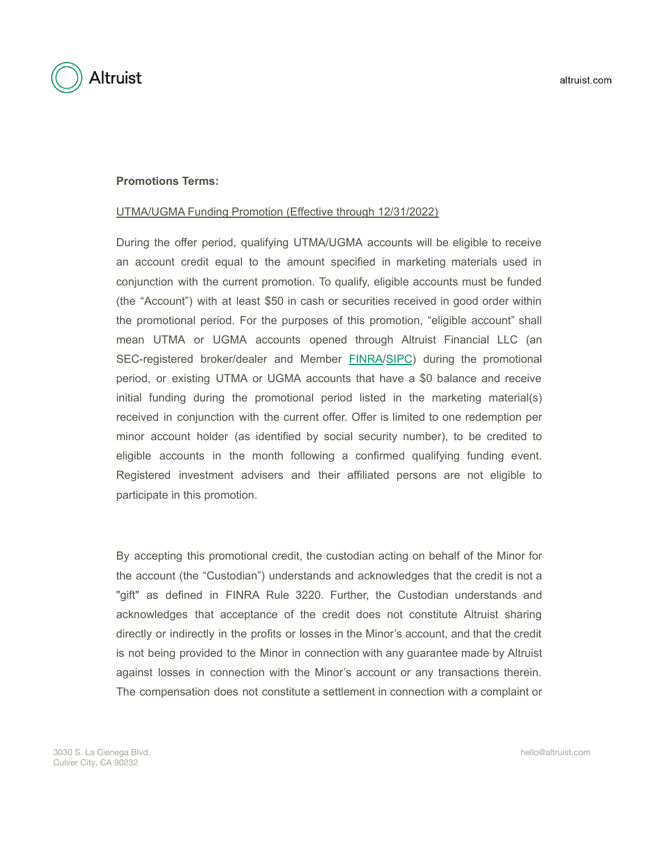



## **Promotions Terms:**

## UTMA/UGMA Funding Promotion (Effective through 12/31/2022)

During the offer period, qualifying UTMA/UGMA accounts will be eligible to receive an account credit equal to the amount specified in marketing materials used in conjunction with the current promotion. To qualify, eligible accounts must be funded (the "Account") with at least \$50 in cash or securities received in good order within the promotional period. For the purposes of this promotion, "eligible account" shall mean UTMA or UGMA accounts opened through Altruist Financial LLC (an SEC-registered broker/dealer and Member [FINRA/](https://www.finra.org/)[SIPC](https://www.sipc.org/)) during the promotional period, or existing UTMA or UGMA accounts that have a \$0 balance and receive initial funding during the promotional period listed in the marketing material(s) received in conjunction with the current offer. Offer is limited to one redemption per minor account holder (as identified by social security number), to be credited to eligible accounts in the month following a confirmed qualifying funding event. Registered investment advisers and their affiliated persons are not eligible to participate in this promotion.

By accepting this promotional credit, the custodian acting on behalf of the Minor for the account (the "Custodian") understands and acknowledges that the credit is not a "gift" as defined in FINRA Rule 3220. Further, the Custodian understands and acknowledges that acceptance of the credit does not constitute Altruist sharing directly or indirectly in the profits or losses in the Minor's account, and that the credit is not being provided to the Minor in connection with any guarantee made by Altruist against losses in connection with the Minor's account or any transactions therein. The compensation does not constitute a settlement in connection with a complaint or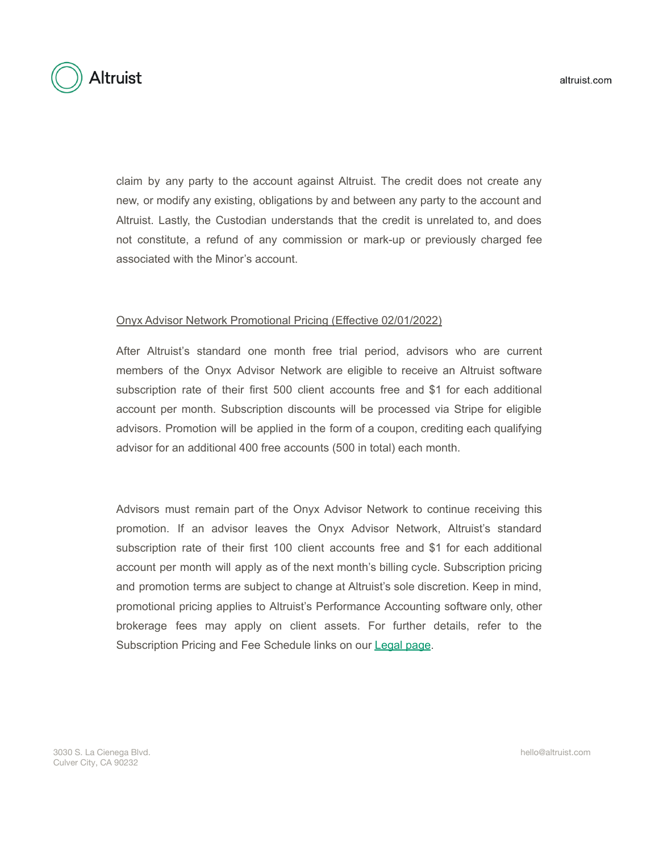**Altruist** 

claim by any party to the account against Altruist. The credit does not create any new, or modify any existing, obligations by and between any party to the account and Altruist. Lastly, the Custodian understands that the credit is unrelated to, and does not constitute, a refund of any commission or mark-up or previously charged fee associated with the Minor's account.

## Onyx Advisor Network Promotional Pricing (Effective 02/01/2022)

After Altruist's standard one month free trial period, advisors who are current members of the Onyx Advisor Network are eligible to receive an Altruist software subscription rate of their first 500 client accounts free and \$1 for each additional account per month. Subscription discounts will be processed via Stripe for eligible advisors. Promotion will be applied in the form of a coupon, crediting each qualifying advisor for an additional 400 free accounts (500 in total) each month.

Advisors must remain part of the Onyx Advisor Network to continue receiving this promotion. If an advisor leaves the Onyx Advisor Network, Altruist's standard subscription rate of their first 100 client accounts free and \$1 for each additional account per month will apply as of the next month's billing cycle. Subscription pricing and promotion terms are subject to change at Altruist's sole discretion. Keep in mind, promotional pricing applies to Altruist's Performance Accounting software only, other brokerage fees may apply on client assets. For further details, refer to the Subscription Pricing and Fee Schedule links on our **[Legal page](http://altruist.com/legal)**.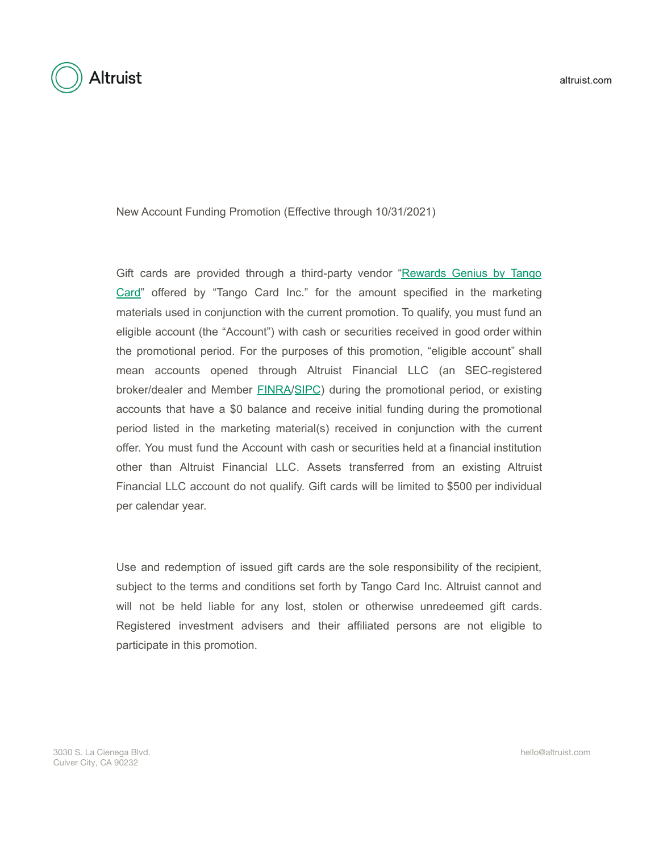

**Altruist** 

New Account Funding Promotion (Effective through 10/31/2021)

Gift cards are provided through a third-party vendor ["Rewards](https://www.rewardsgenius.com/) Genius by Tango [Card"](https://www.rewardsgenius.com/) offered by "Tango Card Inc." for the amount specified in the marketing materials used in conjunction with the current promotion. To qualify, you must fund an eligible account (the "Account") with cash or securities received in good order within the promotional period. For the purposes of this promotion, "eligible account" shall mean accounts opened through Altruist Financial LLC (an SEC-registered broker/dealer and Member [FINRA/](https://www.finra.org/)[SIPC](https://www.sipc.org/)) during the promotional period, or existing accounts that have a \$0 balance and receive initial funding during the promotional period listed in the marketing material(s) received in conjunction with the current offer. You must fund the Account with cash or securities held at a financial institution other than Altruist Financial LLC. Assets transferred from an existing Altruist Financial LLC account do not qualify. Gift cards will be limited to \$500 per individual per calendar year.

Use and redemption of issued gift cards are the sole responsibility of the recipient, subject to the terms and conditions set forth by Tango Card Inc. Altruist cannot and will not be held liable for any lost, stolen or otherwise unredeemed gift cards. Registered investment advisers and their affiliated persons are not eligible to participate in this promotion.

3030 S. La Cienega Blvd. Culver City, CA 90232

hello@altruist.com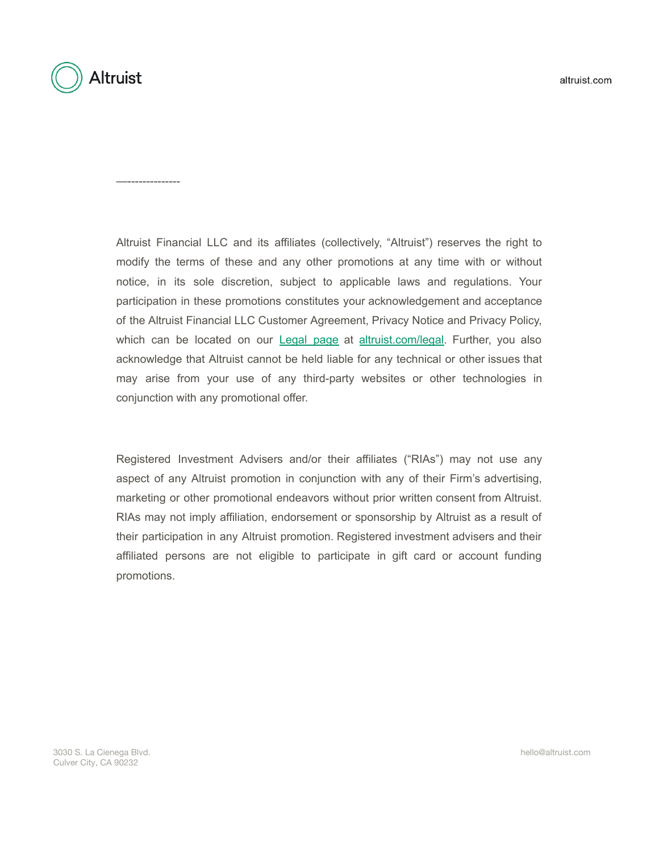

—--------------

Altruist Financial LLC and its affiliates (collectively, "Altruist") reserves the right to modify the terms of these and any other promotions at any time with or without notice, in its sole discretion, subject to applicable laws and regulations. Your participation in these promotions constitutes your acknowledgement and acceptance of the Altruist Financial LLC Customer Agreement, Privacy Notice and Privacy Policy, which can be located on our [Legal](http://altruist.com/legal) page at [altruist.com/legal.](https://altruist.com/legal/) Further, you also acknowledge that Altruist cannot be held liable for any technical or other issues that may arise from your use of any third-party websites or other technologies in conjunction with any promotional offer.

Registered Investment Advisers and/or their affiliates ("RIAs") may not use any aspect of any Altruist promotion in conjunction with any of their Firm's advertising, marketing or other promotional endeavors without prior written consent from Altruist. RIAs may not imply affiliation, endorsement or sponsorship by Altruist as a result of their participation in any Altruist promotion. Registered investment advisers and their affiliated persons are not eligible to participate in gift card or account funding promotions.

3030 S. La Cienega Blvd. Culver City, CA 90232

hello@altruist.com